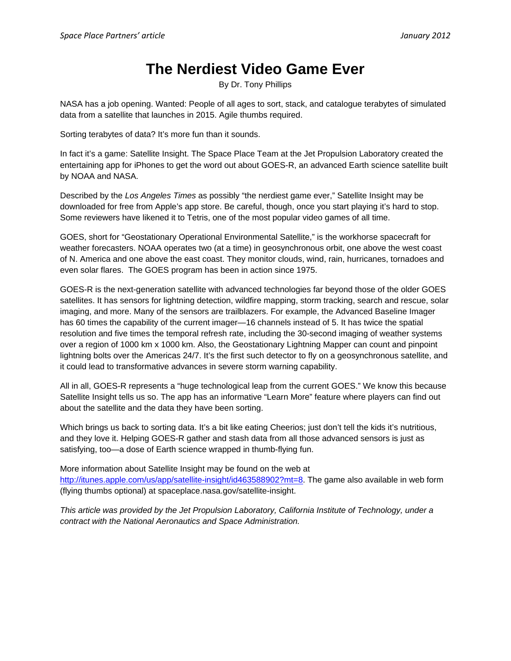## **The Nerdiest Video Game Ever**

By Dr. Tony Phillips

NASA has a job opening. Wanted: People of all ages to sort, stack, and catalogue terabytes of simulated data from a satellite that launches in 2015. Agile thumbs required.

Sorting terabytes of data? It's more fun than it sounds.

In fact it's a game: Satellite Insight. The Space Place Team at the Jet Propulsion Laboratory created the entertaining app for iPhones to get the word out about GOES-R, an advanced Earth science satellite built by NOAA and NASA.

Described by the *Los Angeles Times* as possibly "the nerdiest game ever," Satellite Insight may be downloaded for free from Apple's app store. Be careful, though, once you start playing it's hard to stop. Some reviewers have likened it to Tetris, one of the most popular video games of all time.

GOES, short for "Geostationary Operational Environmental Satellite," is the workhorse spacecraft for weather forecasters. NOAA operates two (at a time) in geosynchronous orbit, one above the west coast of N. America and one above the east coast. They monitor clouds, wind, rain, hurricanes, tornadoes and even solar flares. The GOES program has been in action since 1975.

GOES-R is the next-generation satellite with advanced technologies far beyond those of the older GOES satellites. It has sensors for lightning detection, wildfire mapping, storm tracking, search and rescue, solar imaging, and more. Many of the sensors are trailblazers. For example, the Advanced Baseline Imager has 60 times the capability of the current imager—16 channels instead of 5. It has twice the spatial resolution and five times the temporal refresh rate, including the 30-second imaging of weather systems over a region of 1000 km x 1000 km. Also, the Geostationary Lightning Mapper can count and pinpoint lightning bolts over the Americas 24/7. It's the first such detector to fly on a geosynchronous satellite, and it could lead to transformative advances in severe storm warning capability.

All in all, GOES-R represents a "huge technological leap from the current GOES." We know this because Satellite Insight tells us so. The app has an informative "Learn More" feature where players can find out about the satellite and the data they have been sorting.

Which brings us back to sorting data. It's a bit like eating Cheerios; just don't tell the kids it's nutritious, and they love it. Helping GOES-R gather and stash data from all those advanced sensors is just as satisfying, too—a dose of Earth science wrapped in thumb-flying fun.

More information about Satellite Insight may be found on the web at http://itunes.apple.com/us/app/satellite-insight/id463588902?mt=8. The game also available in web form (flying thumbs optional) at spaceplace.nasa.gov/satellite-insight.

*This article was provided by the Jet Propulsion Laboratory, California Institute of Technology, under a contract with the National Aeronautics and Space Administration.*